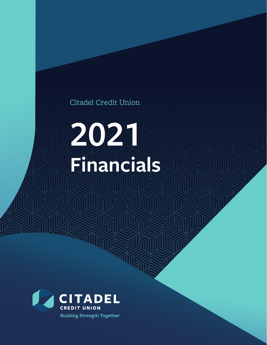## Citadel Credit Union

# **2021 Financials**

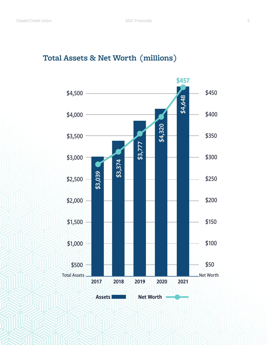### **Total Assets & Net Worth (millions)**

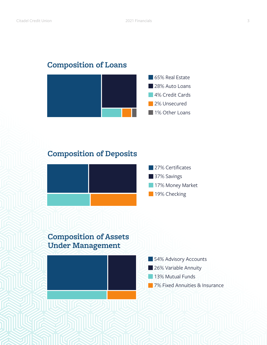#### **Composition of Loans**



#### **Composition of Deposits**



#### **Composition of Assets Under Management**

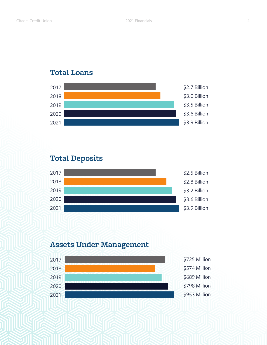#### **Total Loans**



#### **Total Deposits**



#### **Assets Under Management**



\$725 Million \$574 Million \$689 Million \$798 Million \$953 Million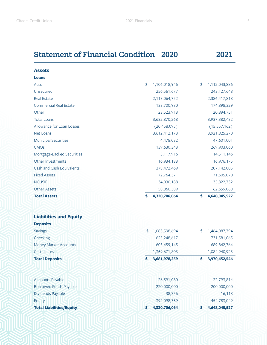### **Statement of Financial Condition 2020 2021**

| <b>Assets</b>                 |                                                   |                     |
|-------------------------------|---------------------------------------------------|---------------------|
| <b>Loans</b>                  |                                                   |                     |
| Auto                          | $\boldsymbol{\hat{\mathcal{S}}}$<br>1,106,018,946 | \$<br>1,112,043,886 |
| Unsecured                     | 256,561,677                                       | 243, 127, 648       |
| <b>Real Estate</b>            | 2,113,064,752                                     | 2,386,417,818       |
| <b>Commercial Real Estate</b> | 133,700,980                                       | 174,898,329         |
| Other                         | 23,523,913                                        | 20,894,751          |
| <b>Total Loans</b>            | 3,632,870,268                                     | 3,937,382,432       |
| Allowance for Loan Losses     | (20, 458, 095)                                    | (15, 557, 162)      |
| <b>Net Loans</b>              | 3,612,412,173                                     | 3,921,825,270       |
| <b>Municipal Securities</b>   | 4,478,032                                         | 47,601,001          |
| <b>CMOs</b>                   | 139,630,343                                       | 269,903,060         |
| Mortgage-Backed Securities    | 3,117,916                                         | 14,511,146          |
| Other Investments             | 16,934,183                                        | 16,976,175          |
| Cash and Cash Equivalents     | 378,472,469                                       | 207, 142, 005       |
| <b>Fixed Assets</b>           | 72,764,371                                        | 71,605,070          |
| <b>NCUSIF</b>                 | 34,030,188                                        | 35,822,732          |
| <b>Other Assets</b>           | 58,866,389                                        | 62,659,068          |
| <b>Total Assets</b>           | 4,320,706,064                                     | \$<br>4,648,045,527 |

| <b>Liabilities and Equity</b>   |                     |                     |
|---------------------------------|---------------------|---------------------|
| <b>Deposits</b>                 |                     |                     |
| <b>Savings</b>                  | 1,083,598,694<br>\$ | \$<br>1,464,087,794 |
| Checking                        | 625,248,617         | 731,581,065         |
| <b>Money Market Accounts</b>    | 603,459,145         | 689, 842, 764       |
| <b>Certificates</b>             | 1,369,671,803       | 1,084,940,923       |
| <b>Total Deposits</b>           | \$<br>3,681,978,259 | 3,970,452,546<br>\$ |
|                                 |                     |                     |
|                                 |                     |                     |
| <b>Accounts Payable</b>         | 26,591,080          | 22,793,814          |
| <b>Borrowed Funds Payable</b>   | 220,000,000         | 200,000,000         |
| Dividends Payable               | 38,356              | 16,118              |
| Equity                          | 392,098,369         | 454,783,049         |
| <b>Total Liabilities/Equity</b> | 4,320,706,064<br>S  | 4,648,045,527<br>\$ |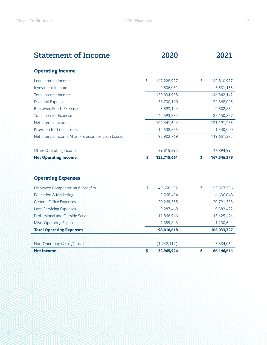| <b>Statement of Income</b>                          |               | 2020        | 2021              |
|-----------------------------------------------------|---------------|-------------|-------------------|
| <b>Operating Income</b>                             |               |             |                   |
| Loan Interest Income                                | \$            | 147,228,927 | \$<br>142,810,987 |
| Investment Income                                   |               | 2,806,031   | 3,531,155         |
| <b>Total Interest Income</b>                        |               | 150,034,958 | 146, 342, 142     |
| <b>Dividend Expense</b>                             |               | 38,700,190  | 22,348,025        |
| <b>Borrowed Funds Expense</b>                       |               | 3,893,144   | 2,802,832         |
| <b>Total Interest Expense</b>                       |               | 42,593,334  | 25,150,857        |
| Net Interest Income                                 |               | 107,441,624 | 121, 191, 285     |
| Provision for Loan Losses                           |               | 14,538,855  | 1,540,000         |
| Net Interest Income After Provision for Loan Losses |               | 92,902,769  | 119,651,285       |
| <b>Other Operating Income</b>                       |               | 39,815,892  | 47,894,994        |
| <b>Net Operating Income</b>                         | \$            | 132,718,661 | \$<br>167,546,279 |
| <b>Operating Expenses</b>                           |               |             |                   |
| <b>Employee Compensation &amp; Benefits</b>         | $\frac{4}{5}$ | 49,658,552  | \$<br>53,567,756  |
| <b>Education &amp; Marketing</b>                    |               | 5,568,454   | 6,636,048         |
| <b>General Office Expenses</b>                      |               | 20,269,355  | 20,791,383        |
| <b>Loan Servicing Expenses</b>                      |               | 9,287,468   | 9,382,422         |
| Professional and Outside Services                   |               | 11,866,946  | 13,425,474        |
| Misc. Operating Expenses                            |               | 1,359,843   | 1,230,644         |
| <b>Total Operating Expenses</b>                     |               | 98,010,618  | 105,033,727       |
|                                                     |               |             |                   |
| Non-Operating Gains /(Loss)                         |               | (1,742,117) | 3,634,062         |
| <b>Net Income</b>                                   | \$            | 32,965,926  | \$<br>66,146,614  |